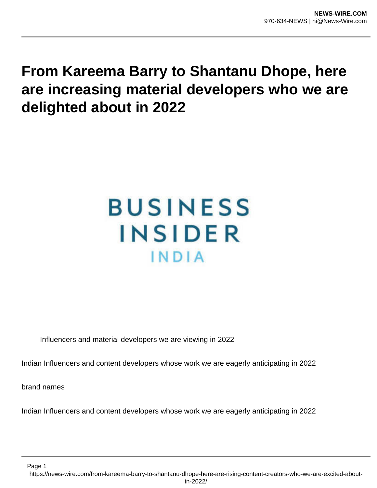## **From Kareema Barry to Shantanu Dhope, here are increasing material developers who we are delighted about in 2022**

## **BUSINESS** INSIDER INDIA

Influencers and material developers we are viewing in 2022

Indian Influencers and content developers whose work we are eagerly anticipating in 2022

brand names

Indian Influencers and content developers whose work we are eagerly anticipating in 2022

Page 1 https://news-wire.com/from-kareema-barry-to-shantanu-dhope-here-are-rising-content-creators-who-we-are-excited-aboutin-2022/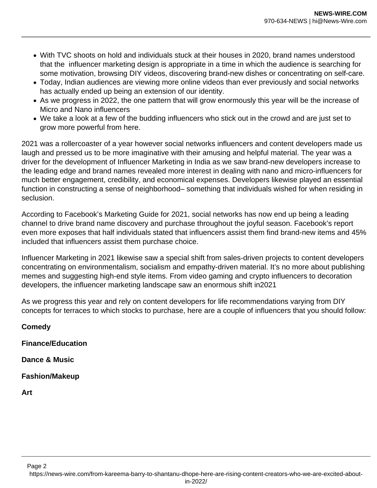- With TVC shoots on hold and individuals stuck at their houses in 2020, brand names understood that the influencer marketing design is appropriate in a time in which the audience is searching for some motivation, browsing DIY videos, discovering brand-new dishes or concentrating on self-care.
- Today, Indian audiences are viewing more online videos than ever previously and social networks has actually ended up being an extension of our identity.
- As we progress in 2022, the one pattern that will grow enormously this year will be the increase of Micro and Nano influencers
- We take a look at a few of the budding influencers who stick out in the crowd and are just set to grow more powerful from here.

2021 was a rollercoaster of a year however social networks influencers and content developers made us laugh and pressed us to be more imaginative with their amusing and helpful material. The year was a driver for the development of Influencer Marketing in India as we saw brand-new developers increase to the leading edge and brand names revealed more interest in dealing with nano and micro-influencers for much better engagement, credibility, and economical expenses. Developers likewise played an essential function in constructing a sense of neighborhood– something that individuals wished for when residing in seclusion.

According to Facebook's Marketing Guide for 2021, social networks has now end up being a leading channel to drive brand name discovery and purchase throughout the joyful season. Facebook's report even more exposes that half individuals stated that influencers assist them find brand-new items and 45% included that influencers assist them purchase choice.

Influencer Marketing in 2021 likewise saw a special shift from sales-driven projects to content developers concentrating on environmentalism, socialism and empathy-driven material. It's no more about publishing memes and suggesting high-end style items. From video gaming and crypto influencers to decoration developers, the influencer marketing landscape saw an enormous shift in2021

As we progress this year and rely on content developers for life recommendations varying from DIY concepts for terraces to which stocks to purchase, here are a couple of influencers that you should follow:

**Comedy Finance/Education**

**Dance & Music**

**Fashion/Makeup**

**Art**

Page 2 https://news-wire.com/from-kareema-barry-to-shantanu-dhope-here-are-rising-content-creators-who-we-are-excited-about